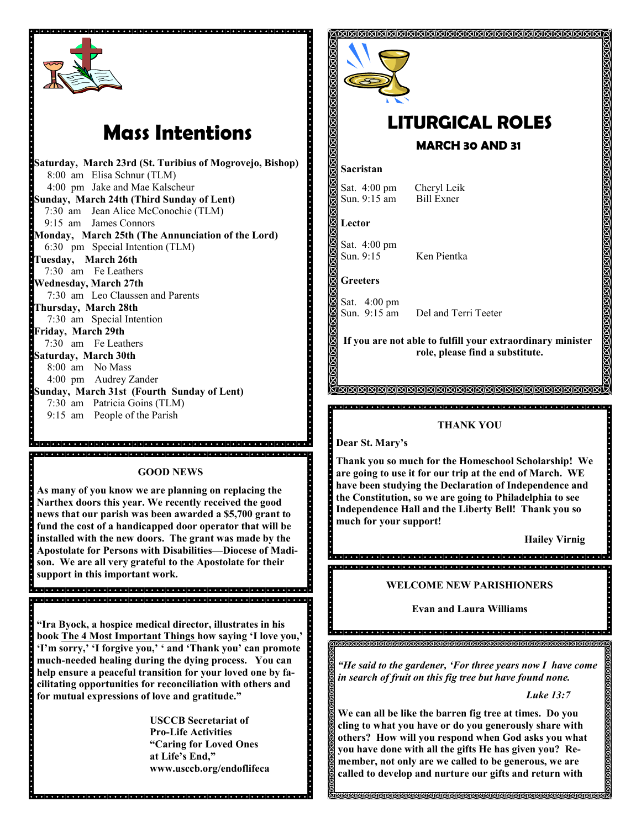

# **Mass Intentions**

**Saturday, March 23rd (St. Turibius of Mogrovejo, Bishop)** 8:00 am Elisa Schnur (TLM) 4:00 pm Jake and Mae Kalscheur **Sunday, March 24th (Third Sunday of Lent)** 7:30 am Jean Alice McConochie (TLM) 9:15 am James Connors **Monday, March 25th (The Annunciation of the Lord)** 6:30 pm Special Intention (TLM) **Tuesday, March 26th** 7:30 am Fe Leathers **Wednesday, March 27th** 7:30 am Leo Claussen and Parents **Thursday, March 28th**  7:30 am Special Intention **Friday, March 29th** 7:30 am Fe Leathers **Saturday, March 30th**  8:00 am No Mass 4:00 pm Audrey Zander **Sunday, March 31st (Fourth Sunday of Lent)** 7:30 am Patricia Goins (TLM) 9:15 am People of the Parish

### **GOOD NEWS**

a di secondo della contra della contra della contra della contra della contra della contra della contra 

**As many of you know we are planning on replacing the Narthex doors this year. We recently received the good news that our parish was been awarded a \$5,700 grant to fund the cost of a handicapped door operator that will be installed with the new doors. The grant was made by the Apostolate for Persons with Disabilities—Diocese of Madison. We are all very grateful to the Apostolate for their support in this important work.**

**"Ira Byock, a hospice medical director, illustrates in his book The 4 Most Important Things how saying 'I love you,'**<br> **cook The 4 Most Important Things how saying 'I love you,'**<br> **cook The 4 Most Important Things how saying 'I love you,'**<br> **complement in the 4 most important of 'I'm sorry,' 'I forgive you,' ' and 'Thank you' can promote much-needed healing during the dying process. You can help ensure a peaceful transition for your loved one by facilitating opportunities for reconciliation with others and for mutual expressions of love and gratitude."**

**USCCB Secretariat of Pro-Life Activities "Caring for Loved Ones at Life's End," www.usccb.org/endoflifeca**



## **LITURGICAL ROLES**

### **MARCH 30 AND 31**

### **Sacristan**

Sat. 4:00 pm Cheryl Leik Sun. 9:15 am Bill Exner

**Lector**

Sat. 4:00 pm Sun. 9:15 Ken Pientka

**Greeters**

Sat. 4:00 pm Sun. 9:15 am Del and Terri Teeter

**If you are not able to fulfill your extraordinary minister role, please find a substitute.** 

### **THANK YOU**

**Dear St. Mary's**

**Thank you so much for the Homeschool Scholarship! We are going to use it for our trip at the end of March. WE have been studying the Declaration of Independence and the Constitution, so we are going to Philadelphia to see Independence Hall and the Liberty Bell! Thank you so much for your support!**

**Hailey Virnig**

s<br>Sociologica de documenta de la ciología de la ciología de la ciología de la ciología de la ciología de la ciol 

### **WELCOME NEW PARISHIONERS**

**Evan and Laura Williams** 

*"He said to the gardener, 'For three years now I have come in search of fruit on this fig tree but have found none.*

*Luke 13:7*

**We can all be like the barren fig tree at times. Do you cling to what you have or do you generously share with others? How will you respond when God asks you what you have done with all the gifts He has given you? Remember, not only are we called to be generous, we are called to develop and nurture our gifts and return with**